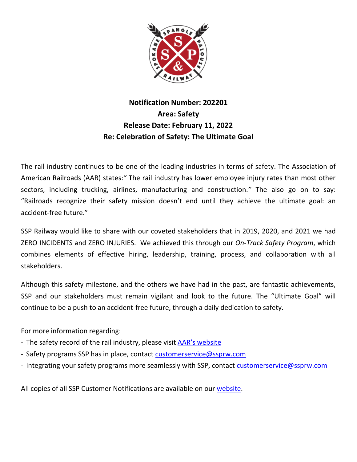

## **Notification Number: 202201 Area: Safety Release Date: February 11, 2022 Re: Celebration of Safety: The Ultimate Goal**

The rail industry continues to be one of the leading industries in terms of safety. The Association of American Railroads (AAR) states:*"* The rail industry has lower employee injury rates than most other sectors, including trucking, airlines, manufacturing and construction.*"* The also go on to say: "Railroads recognize their safety mission doesn't end until they achieve the ultimate goal: an accident-free future."

SSP Railway would like to share with our coveted stakeholders that in 2019, 2020, and 2021 we had ZERO INCIDENTS and ZERO INJURIES. We achieved this through our *On-Track Safety Program*, which combines elements of effective hiring, leadership, training, process, and collaboration with all stakeholders.

Although this safety milestone, and the others we have had in the past, are fantastic achievements, SSP and our stakeholders must remain vigilant and look to the future. The "Ultimate Goal" will continue to be a push to an accident-free future, through a daily dedication to safety.

For more information regarding:

- The safety record of the rail industry, please visit [AAR's website](https://www.aar.org/issue/freight-rail-safety-record/)
- Safety programs SSP has in place, contact [customerservice@ssprw.com](mailto:customerservice@ssprw.com)
- Integrating your safety programs more seamlessly with SSP, contact [customerservice@ssprw.com](mailto:customerservice@ssprw.com)

All copies of all SSP Customer Notifications are available on our [website.](https://www.ssprw.com/customers.html)